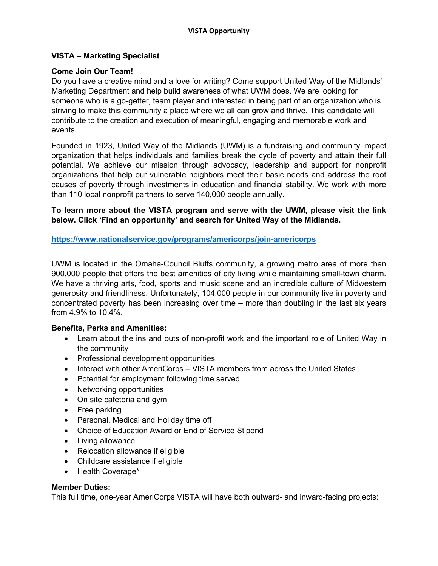## **VISTA – Marketing Specialist**

#### **Come Join Our Team!**

Do you have a creative mind and a love for writing? Come support United Way of the Midlands' Marketing Department and help build awareness of what UWM does. We are looking for someone who is a go-getter, team player and interested in being part of an organization who is striving to make this community a place where we all can grow and thrive. This candidate will contribute to the creation and execution of meaningful, engaging and memorable work and events.

Founded in 1923, United Way of the Midlands (UWM) is a fundraising and community impact organization that helps individuals and families break the cycle of poverty and attain their full potential. We achieve our mission through advocacy, leadership and support for nonprofit organizations that help our vulnerable neighbors meet their basic needs and address the root causes of poverty through investments in education and financial stability. We work with more than 110 local nonprofit partners to serve 140,000 people annually.

**To learn more about the VISTA program and serve with the UWM, please visit the link below. Click 'Find an opportunity' and search for United Way of the Midlands.** 

**https://www.nationalservice.gov/programs/americorps/join-americorps**

UWM is located in the Omaha-Council Bluffs community, a growing metro area of more than 900,000 people that offers the best amenities of city living while maintaining small-town charm. We have a thriving arts, food, sports and music scene and an incredible culture of Midwestern generosity and friendliness. Unfortunately, 104,000 people in our community live in poverty and concentrated poverty has been increasing over time – more than doubling in the last six years from 4.9% to 10.4%.

### **Benefits, Perks and Amenities:**

- Learn about the ins and outs of non-profit work and the important role of United Way in the community
- Professional development opportunities
- Interact with other AmeriCorps VISTA members from across the United States
- Potential for employment following time served
- Networking opportunities
- On site cafeteria and gym
- Free parking
- Personal, Medical and Holiday time off
- Choice of Education Award or End of Service Stipend
- Living allowance
- Relocation allowance if eligible
- Childcare assistance if eligible
- Health Coverage\*

### **Member Duties:**

This full time, one-year AmeriCorps VISTA will have both outward- and inward-facing projects: